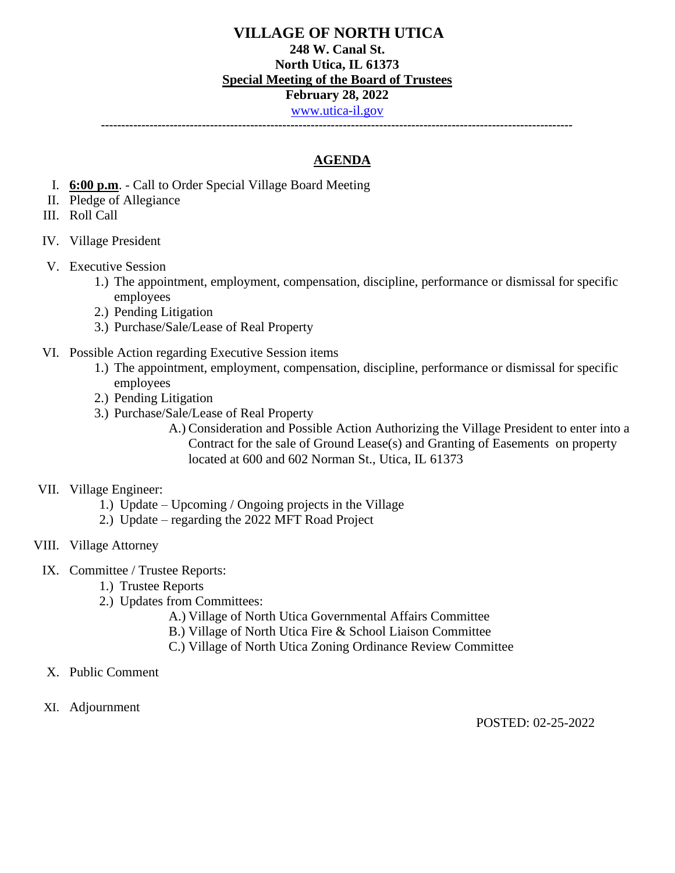# **VILLAGE OF NORTH UTICA 248 W. Canal St. North Utica, IL 61373 Special Meeting of the Board of Trustees February 28, 2022** [www.utica-il.gov](http://www.utica-il.gov/)

**---------------------------------------------------------------------------------------------------------------------**

## **AGENDA**

- I. **6:00 p.m**. Call to Order Special Village Board Meeting
- II. Pledge of Allegiance
- III. Roll Call
- IV. Village President
- V. Executive Session
	- 1.) The appointment, employment, compensation, discipline, performance or dismissal for specific employees
	- 2.) Pending Litigation
	- 3.) Purchase/Sale/Lease of Real Property
- VI. Possible Action regarding Executive Session items
	- 1.) The appointment, employment, compensation, discipline, performance or dismissal for specific employees
	- 2.) Pending Litigation
	- 3.) Purchase/Sale/Lease of Real Property
		- A.) Consideration and Possible Action Authorizing the Village President to enter into a Contract for the sale of Ground Lease(s) and Granting of Easements on property located at 600 and 602 Norman St., Utica, IL 61373

#### VII. Village Engineer:

- 1.) Update Upcoming / Ongoing projects in the Village
- 2.) Update regarding the 2022 MFT Road Project

### VIII. Village Attorney

- IX. Committee / Trustee Reports:
	- 1.) Trustee Reports
	- 2.) Updates from Committees:
		- A.) Village of North Utica Governmental Affairs Committee
		- B.) Village of North Utica Fire & School Liaison Committee
		- C.) Village of North Utica Zoning Ordinance Review Committee
- X. Public Comment
- XI. Adjournment

POSTED: 02-25-2022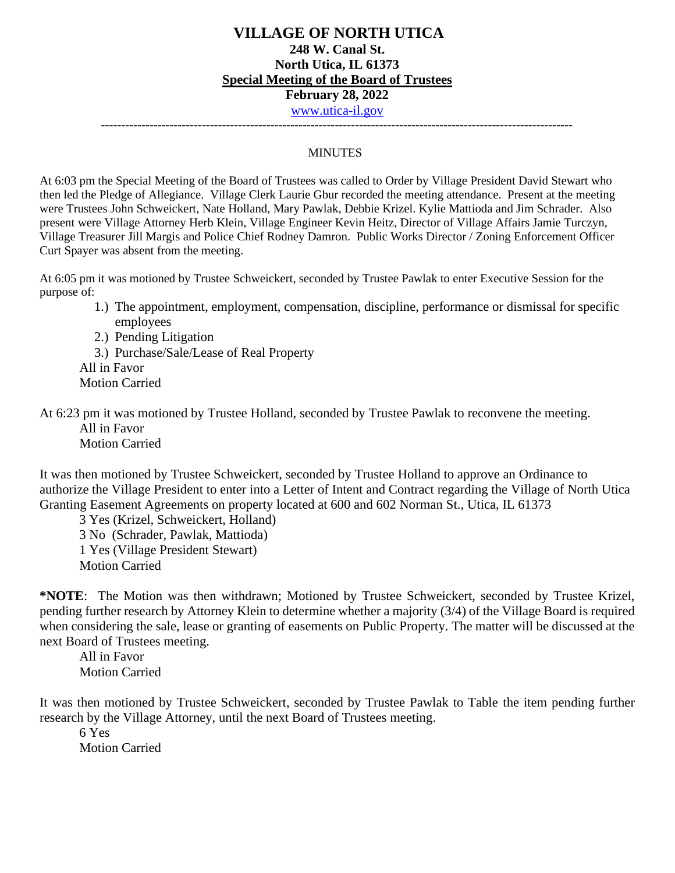## **VILLAGE OF NORTH UTICA 248 W. Canal St. North Utica, IL 61373 Special Meeting of the Board of Trustees February 28, 2022** [www.utica-il.gov](http://www.utica-il.gov/)

**---------------------------------------------------------------------------------------------------------------------**

#### MINUTES

At 6:03 pm the Special Meeting of the Board of Trustees was called to Order by Village President David Stewart who then led the Pledge of Allegiance. Village Clerk Laurie Gbur recorded the meeting attendance. Present at the meeting were Trustees John Schweickert, Nate Holland, Mary Pawlak, Debbie Krizel. Kylie Mattioda and Jim Schrader. Also present were Village Attorney Herb Klein, Village Engineer Kevin Heitz, Director of Village Affairs Jamie Turczyn, Village Treasurer Jill Margis and Police Chief Rodney Damron. Public Works Director / Zoning Enforcement Officer Curt Spayer was absent from the meeting.

At 6:05 pm it was motioned by Trustee Schweickert, seconded by Trustee Pawlak to enter Executive Session for the purpose of:

- 1.) The appointment, employment, compensation, discipline, performance or dismissal for specific employees
- 2.) Pending Litigation

3.) Purchase/Sale/Lease of Real Property

All in Favor

Motion Carried

At 6:23 pm it was motioned by Trustee Holland, seconded by Trustee Pawlak to reconvene the meeting. All in Favor Motion Carried

It was then motioned by Trustee Schweickert, seconded by Trustee Holland to approve an Ordinance to authorize the Village President to enter into a Letter of Intent and Contract regarding the Village of North Utica Granting Easement Agreements on property located at 600 and 602 Norman St., Utica, IL 61373

3 Yes (Krizel, Schweickert, Holland) 3 No (Schrader, Pawlak, Mattioda) 1 Yes (Village President Stewart) Motion Carried

**\*NOTE**: The Motion was then withdrawn; Motioned by Trustee Schweickert, seconded by Trustee Krizel, pending further research by Attorney Klein to determine whether a majority (3/4) of the Village Board is required when considering the sale, lease or granting of easements on Public Property. The matter will be discussed at the next Board of Trustees meeting.

All in Favor Motion Carried

It was then motioned by Trustee Schweickert, seconded by Trustee Pawlak to Table the item pending further research by the Village Attorney, until the next Board of Trustees meeting.

6 Yes Motion Carried